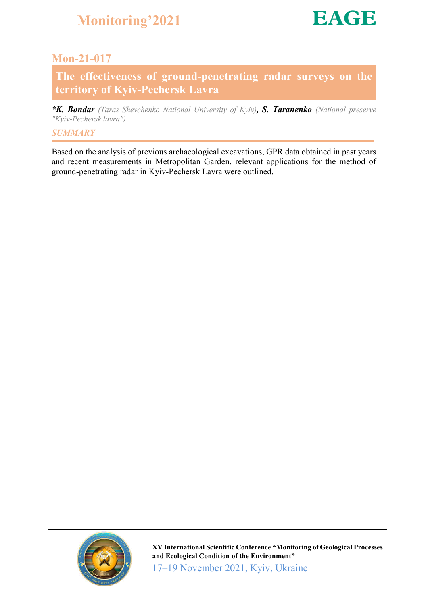

### Mon-21-017

The effectiveness of ground-penetrating radar surveys on the territory of Kyiv-Pechersk Lavra

*\*K. Bondar (Taras Shevchenko National University of Kyiv), S. Taranenko (National preserve "Kyiv-Pechersk lavra")*

### *SUMMARY*

Based on the analysis of previous archaeological excavations, GPR data obtained in past years and recent measurements in Metropolitan Garden, relevant applications for the method of ground-penetrating radar in Kyiv-Pechersk Lavra were outlined.



XV International Scientific Conference "Monitoring of Geological Processes and Ecological Condition of the Environment" 17–19 November 2021, Kyiv, Ukraine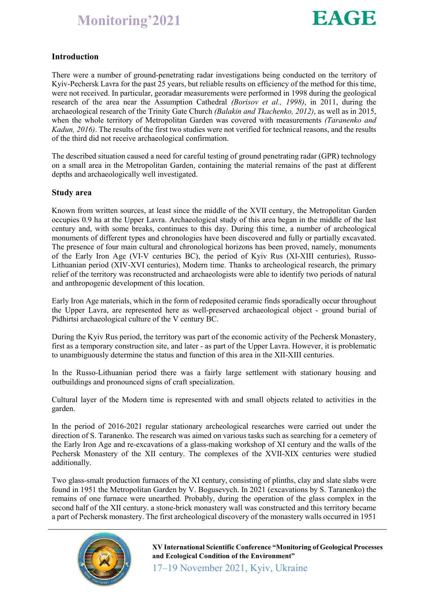

### Introduction

There were a number of ground-penetrating radar investigations being conducted on the territory of Kyiv-Pechersk Lavra for the past 25 years, but reliable results on efficiency of the method for this time, were not received. In particular, georadar measurements were performed in 1998 during the geological research of the area near the Assumption Cathedral *(Borisov et al., 1998)*, in 2011, during the archaeological research of the Trinity Gate Church *(Balakin and Tkachenko, 2012)*, as well as in 2015, when the whole territory of Metropolitan Garden was covered with measurements *(Taranenko and Kadun, 2016)*. The results of the first two studies were not verified for technical reasons, and the results of the third did not receive archaeological confirmation.

The described situation caused a need for careful testing of ground penetrating radar (GPR) technology on a small area in the Metropolitan Garden, containing the material remains of the past at different depths and archaeologically well investigated.

#### Study area

Known from written sources, at least since the middle of the XVII century, the Metropolitan Garden occupies 0.9 ha at the Upper Lavra. Archaeological study of this area began in the middle of the last century and, with some breaks, continues to this day. During this time, a number of archeological monuments of different types and chronologies have been discovered and fully or partially excavated. The presence of four main cultural and chronological horizons has been proved, namely, monuments of the Early Iron Age (VI-V centuries BC), the period of Kyiv Rus (XI-XIII centuries), Russo-Lithuanian period (XIV-XVI centuries), Modern time. Thanks to archeological research, the primary relief of the territory was reconstructed and archaeologists were able to identify two periods of natural and anthropogenic development of this location.

Early Iron Age materials, which in the form of redeposited ceramic finds sporadically occur throughout the Upper Lavra, are represented here as well-preserved archaeological object - ground burial of Pidhirtsi archaeological culture of the V century BC.

During the Kyiv Rus period, the territory was part of the economic activity of the Pechersk Monastery, first as a temporary construction site, and later - as part of the Upper Lavra. However, it is problematic to unambiguously determine the status and function of this area in the XII-XIII centuries.

In the Russo-Lithuanian period there was a fairly large settlement with stationary housing and outbuildings and pronounced signs of craft specialization.

Cultural layer of the Modern time is represented with and small objects related to activities in the garden.

In the period of 2016-2021 regular stationary archeological researches were carried out under the direction of S. Taranenko. The research was aimed on various tasks such as searching for a cemetery of the Early Iron Age and re-excavations of a glass-making workshop of XI century and the walls of the Pechersk Monastery of the XII century. The complexes of the XVII-XIX centuries were studied additionally.

Two glass-smalt production furnaces of the XI century, consisting of plinths, clay and slate slabs were found in 1951 the Metropolitan Garden by V. Bogusevych. In 2021 (excavations by S. Taranenko) the remains of one furnace were unearthed. Probably, during the operation of the glass complex in the second half of the XII century. a stone-brick monastery wall was constructed and this territory became a part of Pechersk monastery. The first archeological discovery of the monastery walls occurred in 1951



XV International Scientific Conference "Monitoring of Geological Processes and Ecological Condition of the Environment"

17–19 November 2021, Kyiv, Ukraine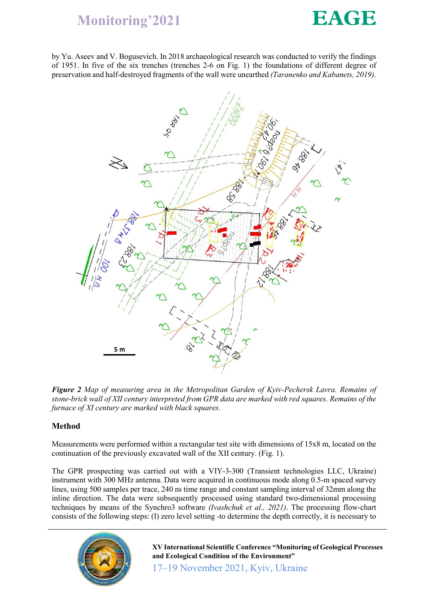

by Yu. Aseev and V. Bogusevich. In 2018 archaeological research was conducted to verify the findings of 1951. In five of the six trenches (trenches 2-6 on Fig. 1) the foundations of different degree of preservation and half-destroyed fragments of the wall were unearthed *(Taranenko and Kabanets, 2019)*.



*Figure 2 Map of measuring area in the Metropolitan Garden of Kyiv-Pechersk Lavra. Remains of stone-brick wall of XII century interpreted from GPR data are marked with red squares. Remains of the furnace of XI century are marked with black squares.*

### Method

Measurements were performed within a rectangular test site with dimensions of 15x8 m, located on the continuation of the previously excavated wall of the XII century. (Fig. 1).

The GPR prospecting was carried out with a VIY-3-300 (Transient technologies LLC, Ukraine) instrument with 300 MHz antenna. Data were acquired in continuous mode along 0.5-m spaced survey lines, using 500 samples per trace, 240 ns time range and constant sampling interval of 32mm along the inline direction. The data were subsequently processed using standard two-dimensional processing techniques by means of the Synchro3 software *(Ivashchuk et al., 2021)*. The processing flow-chart consists of the following steps: (I) zero level setting -to determine the depth correctly, it is necessary to



XV International Scientific Conference "Monitoring of Geological Processes and Ecological Condition of the Environment"

17–19 November 2021, Kyiv, Ukraine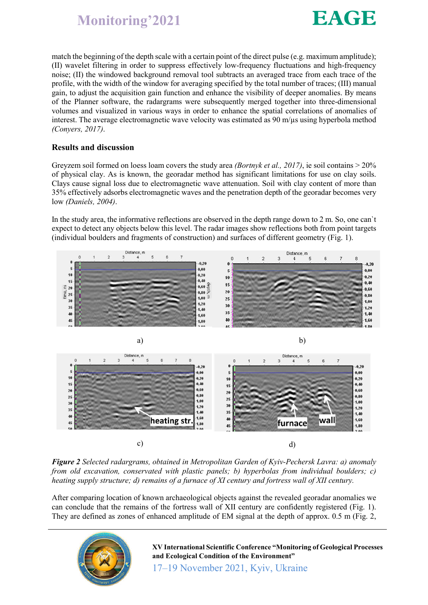

match the beginning of the depth scale with a certain point of the direct pulse (e.g. maximum amplitude); (II) wavelet filtering in order to suppress effectively low-frequency fluctuations and high-frequency noise; (II) the windowed background removal tool subtracts an averaged trace from each trace of the profile, with the width of the window for averaging specified by the total number of traces; (III) manual gain, to adjust the acquisition gain function and enhance the visibility of deeper anomalies. By means of the Planner software, the radargrams were subsequently merged together into three-dimensional volumes and visualized in various ways in order to enhance the spatial correlations of anomalies of interest. The average electromagnetic wave velocity was estimated as  $90 \text{ m}/\mu s$  using hyperbola method *(Conyers, 2017)*.

### Results and discussion

Greyzem soil formed on loess loam covers the study area *(Bortnyk et al., 2017)*, ie soil contains > 20% of physical clay. As is known, the georadar method has significant limitations for use on clay soils. Clays cause signal loss due to electromagnetic wave attenuation. Soil with clay content of more than 35% effectively adsorbs electromagnetic waves and the penetration depth of the georadar becomes very low *(Daniels, 2004)*.

In the study area, the informative reflections are observed in the depth range down to 2 m. So, one can`t expect to detect any objects below this level. The radar images show reflections both from point targets (individual boulders and fragments of construction) and surfaces of different geometry (Fig. 1).



*Figure 2 Selected radargrams, obtained in Metropolitan Garden of Kyiv-Pechersk Lavra: a) anomaly from old excavation, conservated with plastic panels; b) hyperbolas from individual boulders; c) heating supply structure; d) remains of a furnace of XI century and fortress wall of XII century.*

After comparing location of known archaeological objects against the revealed georadar anomalies we can conclude that the remains of the fortress wall of XII century are confidently registered (Fig. 1). They are defined as zones of enhanced amplitude of EM signal at the depth of approx. 0.5 m (Fig. 2,